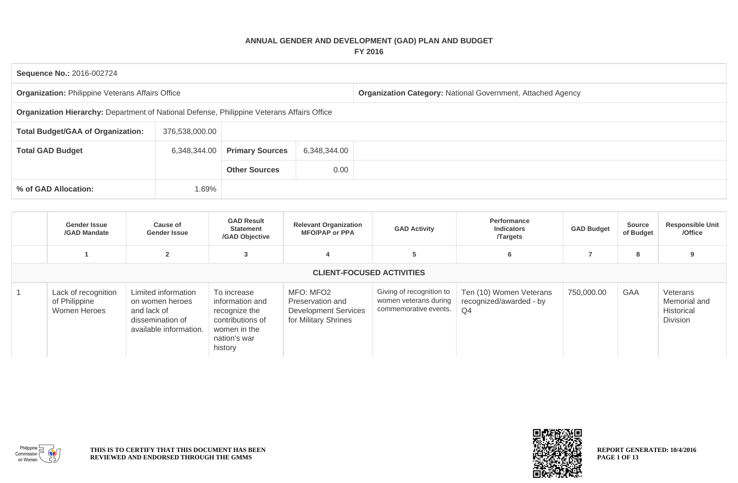## **ANNUAL GENDER AND DEVELOPMENT (GAD) PLAN AND BUDGET FY 2016**

| Sequence No.: 2016-002724                                                                  |                |                        |              |                                                                    |
|--------------------------------------------------------------------------------------------|----------------|------------------------|--------------|--------------------------------------------------------------------|
| <b>Organization: Philippine Veterans Affairs Office</b>                                    |                |                        |              | <b>Organization Category: National Government, Attached Agency</b> |
| Organization Hierarchy: Department of National Defense, Philippine Veterans Affairs Office |                |                        |              |                                                                    |
| <b>Total Budget/GAA of Organization:</b>                                                   | 376,538,000.00 |                        |              |                                                                    |
| <b>Total GAD Budget</b>                                                                    | 6,348,344.00   | <b>Primary Sources</b> | 6,348,344.00 |                                                                    |
|                                                                                            |                | <b>Other Sources</b>   | 0.00         |                                                                    |
| % of GAD Allocation:                                                                       | 1.69%          |                        |              |                                                                    |

| <b>Gender Issue</b><br>/GAD Mandate                  | <b>Cause of</b><br><b>Gender Issue</b>                                                              | <b>GAD Result</b><br><b>Statement</b><br>/GAD Objective                                                        | <b>Relevant Organization</b><br><b>MFO/PAP or PPA</b>                                | <b>GAD Activity</b>                                                        | Performance<br><b>Indicators</b><br><b>Targets</b>                   | <b>GAD Budget</b> | <b>Source</b><br>of Budget | <b>Responsible Unit</b><br>/Office                        |
|------------------------------------------------------|-----------------------------------------------------------------------------------------------------|----------------------------------------------------------------------------------------------------------------|--------------------------------------------------------------------------------------|----------------------------------------------------------------------------|----------------------------------------------------------------------|-------------------|----------------------------|-----------------------------------------------------------|
|                                                      | $\overline{2}$                                                                                      | 3                                                                                                              |                                                                                      | 5                                                                          | 6                                                                    |                   | 8                          | 9                                                         |
|                                                      |                                                                                                     |                                                                                                                | <b>CLIENT-FOCUSED ACTIVITIES</b>                                                     |                                                                            |                                                                      |                   |                            |                                                           |
| Lack of recognition<br>of Philippine<br>Women Heroes | Limited information<br>on women heroes<br>and lack of<br>dissemination of<br>available information. | To increase<br>information and<br>recognize the<br>contributions of<br>women in the<br>nation's war<br>history | MFO: MFO2<br>Preservation and<br><b>Development Services</b><br>for Military Shrines | Giving of recognition to<br>women veterans during<br>commemorative events. | Ten (10) Women Veterans<br>recognized/awarded - by<br>Q <sub>4</sub> | 750,000.00        | GAA                        | Veterans<br>Memorial and<br>Historical<br><b>Division</b> |



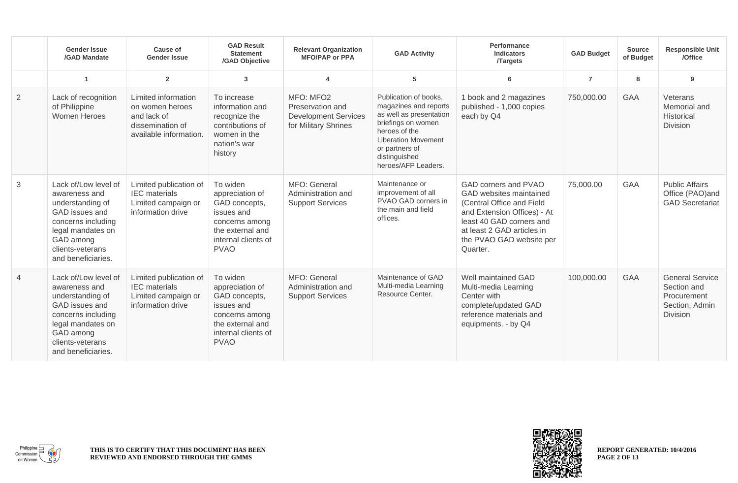|                | <b>Gender Issue</b><br>/GAD Mandate                                                                                                                                           | <b>Cause of</b><br><b>Gender Issue</b>                                                              | <b>GAD Result</b><br><b>Statement</b><br>/GAD Objective                                                                                | <b>Relevant Organization</b><br><b>MFO/PAP or PPA</b>                                | <b>GAD Activity</b>                                                                                                                                                                                      | Performance<br><b>Indicators</b><br><b>Targets</b>                                                                                                                                                            | <b>GAD Budget</b> | <b>Source</b><br>of Budget | <b>Responsible Unit</b><br>/Office                                                        |
|----------------|-------------------------------------------------------------------------------------------------------------------------------------------------------------------------------|-----------------------------------------------------------------------------------------------------|----------------------------------------------------------------------------------------------------------------------------------------|--------------------------------------------------------------------------------------|----------------------------------------------------------------------------------------------------------------------------------------------------------------------------------------------------------|---------------------------------------------------------------------------------------------------------------------------------------------------------------------------------------------------------------|-------------------|----------------------------|-------------------------------------------------------------------------------------------|
|                | $\blacktriangleleft$                                                                                                                                                          | $\overline{2}$                                                                                      | $\mathbf{3}$                                                                                                                           | 4                                                                                    | 5                                                                                                                                                                                                        | 6                                                                                                                                                                                                             | $\overline{7}$    | 8                          | 9                                                                                         |
| $\overline{2}$ | Lack of recognition<br>of Philippine<br>Women Heroes                                                                                                                          | Limited information<br>on women heroes<br>and lack of<br>dissemination of<br>available information. | To increase<br>information and<br>recognize the<br>contributions of<br>women in the<br>nation's war<br>history                         | MFO: MFO2<br>Preservation and<br><b>Development Services</b><br>for Military Shrines | Publication of books.<br>magazines and reports<br>as well as presentation<br>briefings on women<br>heroes of the<br><b>Liberation Movement</b><br>or partners of<br>distinguished<br>heroes/AFP Leaders. | 1 book and 2 magazines<br>published - 1,000 copies<br>each by Q4                                                                                                                                              | 750,000.00        | <b>GAA</b>                 | Veterans<br>Memorial and<br><b>Historical</b><br>Division                                 |
| 3              | Lack of/Low level of<br>awareness and<br>understanding of<br>GAD issues and<br>concerns including<br>legal mandates on<br>GAD among<br>clients-veterans<br>and beneficiaries. | Limited publication of<br><b>IEC</b> materials<br>Limited campaign or<br>information drive          | To widen<br>appreciation of<br>GAD concepts,<br>issues and<br>concerns among<br>the external and<br>internal clients of<br><b>PVAO</b> | MFO: General<br>Administration and<br><b>Support Services</b>                        | Maintenance or<br>improvement of all<br>PVAO GAD corners in<br>the main and field<br>offices.                                                                                                            | GAD corners and PVAO<br>GAD websites maintained<br>(Central Office and Field<br>and Extension Offices) - At<br>least 40 GAD corners and<br>at least 2 GAD articles in<br>the PVAO GAD website per<br>Quarter. | 75,000.00         | <b>GAA</b>                 | <b>Public Affairs</b><br>Office (PAO)and<br><b>GAD Secretariat</b>                        |
| $\overline{4}$ | Lack of/Low level of<br>awareness and<br>understanding of<br>GAD issues and<br>concerns including<br>legal mandates on<br>GAD among<br>clients-veterans<br>and beneficiaries. | Limited publication of<br><b>IEC</b> materials<br>Limited campaign or<br>information drive          | To widen<br>appreciation of<br>GAD concepts,<br>issues and<br>concerns among<br>the external and<br>internal clients of<br><b>PVAO</b> | MFO: General<br>Administration and<br><b>Support Services</b>                        | Maintenance of GAD<br>Multi-media Learning<br>Resource Center.                                                                                                                                           | Well maintained GAD<br>Multi-media Learning<br>Center with<br>complete/updated GAD<br>reference materials and<br>equipments. - by Q4                                                                          | 100,000.00        | <b>GAA</b>                 | <b>General Service</b><br>Section and<br>Procurement<br>Section, Admin<br><b>Division</b> |



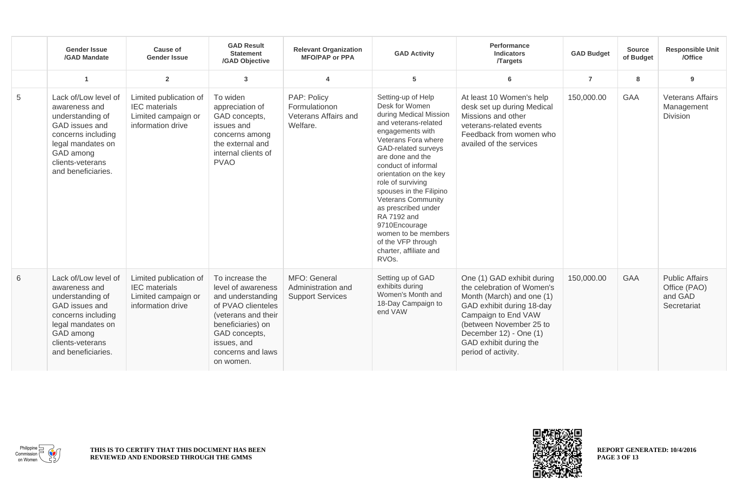|   | <b>Gender Issue</b><br>/GAD Mandate                                                                                                                                           | <b>Cause of</b><br><b>Gender Issue</b>                                                     | <b>GAD Result</b><br><b>Statement</b><br>/GAD Objective                                                                                                                                        | <b>Relevant Organization</b><br><b>MFO/PAP or PPA</b>            | <b>GAD Activity</b>                                                                                                                                                                                                                                                                                                                                                                                                                                            | Performance<br><b>Indicators</b><br><b>Targets</b>                                                                                                                                                                                              | <b>GAD Budget</b> | <b>Source</b><br>of Budget | <b>Responsible Unit</b><br>/Office                              |
|---|-------------------------------------------------------------------------------------------------------------------------------------------------------------------------------|--------------------------------------------------------------------------------------------|------------------------------------------------------------------------------------------------------------------------------------------------------------------------------------------------|------------------------------------------------------------------|----------------------------------------------------------------------------------------------------------------------------------------------------------------------------------------------------------------------------------------------------------------------------------------------------------------------------------------------------------------------------------------------------------------------------------------------------------------|-------------------------------------------------------------------------------------------------------------------------------------------------------------------------------------------------------------------------------------------------|-------------------|----------------------------|-----------------------------------------------------------------|
|   | $\blacktriangleleft$                                                                                                                                                          | $\mathbf{2}$                                                                               | $\mathbf{3}$                                                                                                                                                                                   | Δ                                                                | $5\phantom{.0}$                                                                                                                                                                                                                                                                                                                                                                                                                                                | 6                                                                                                                                                                                                                                               | $\overline{7}$    | 8                          | 9                                                               |
| 5 | Lack of/Low level of<br>awareness and<br>understanding of<br>GAD issues and<br>concerns including<br>legal mandates on<br>GAD among<br>clients-veterans<br>and beneficiaries. | Limited publication of<br><b>IEC</b> materials<br>Limited campaign or<br>information drive | To widen<br>appreciation of<br>GAD concepts,<br>issues and<br>concerns among<br>the external and<br>internal clients of<br><b>PVAO</b>                                                         | PAP: Policy<br>Formulationon<br>Veterans Affairs and<br>Welfare. | Setting-up of Help<br>Desk for Women<br>during Medical Mission<br>and veterans-related<br>engagements with<br>Veterans Fora where<br>GAD-related surveys<br>are done and the<br>conduct of informal<br>orientation on the key<br>role of surviving<br>spouses in the Filipino<br><b>Veterans Community</b><br>as prescribed under<br>RA 7192 and<br>9710Encourage<br>women to be members<br>of the VFP through<br>charter, affiliate and<br>RVO <sub>s</sub> . | At least 10 Women's help<br>desk set up during Medical<br>Missions and other<br>veterans-related events<br>Feedback from women who<br>availed of the services                                                                                   | 150,000.00        | <b>GAA</b>                 | <b>Veterans Affairs</b><br>Management<br>Division               |
| 6 | Lack of/Low level of<br>awareness and<br>understanding of<br>GAD issues and<br>concerns including<br>legal mandates on<br>GAD among<br>clients-veterans<br>and beneficiaries. | Limited publication of<br><b>IEC</b> materials<br>Limited campaign or<br>information drive | To increase the<br>level of awareness<br>and understanding<br>of PVAO clienteles<br>(veterans and their<br>beneficiaries) on<br>GAD concepts,<br>issues, and<br>concerns and laws<br>on women. | MFO: General<br>Administration and<br><b>Support Services</b>    | Setting up of GAD<br>exhibits during<br>Women's Month and<br>18-Day Campaign to<br>end VAW                                                                                                                                                                                                                                                                                                                                                                     | One (1) GAD exhibit during<br>the celebration of Women's<br>Month (March) and one (1)<br>GAD exhibit during 18-day<br>Campaign to End VAW<br>(between November 25 to<br>December 12) - One (1)<br>GAD exhibit during the<br>period of activity. | 150,000.00        | <b>GAA</b>                 | <b>Public Affairs</b><br>Office (PAO)<br>and GAD<br>Secretariat |



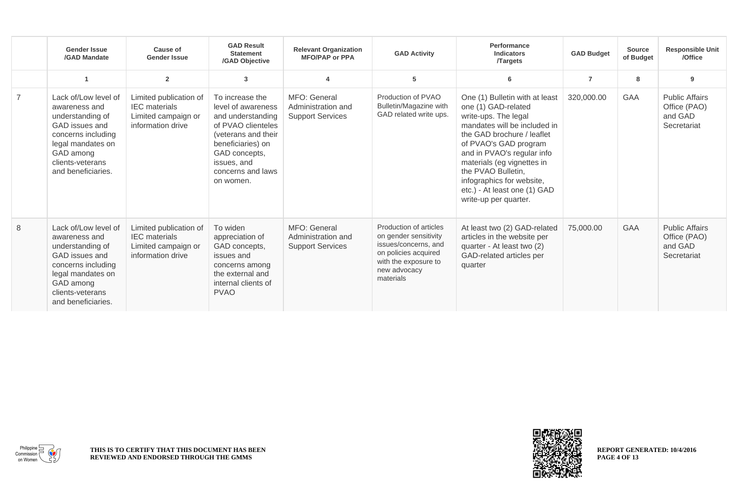|                | <b>Gender Issue</b><br>/GAD Mandate                                                                                                                                           | <b>Cause of</b><br><b>Gender Issue</b>                                                     | <b>GAD Result</b><br><b>Statement</b><br>/GAD Objective                                                                                                                                        | <b>Relevant Organization</b><br><b>MFO/PAP or PPA</b>         | <b>GAD Activity</b>                                                                                                                                  | Performance<br><b>Indicators</b><br><b>Targets</b>                                                                                                                                                                                                                                                                                           | <b>GAD Budget</b> | <b>Source</b><br>of Budget | <b>Responsible Unit</b><br>/Office                              |
|----------------|-------------------------------------------------------------------------------------------------------------------------------------------------------------------------------|--------------------------------------------------------------------------------------------|------------------------------------------------------------------------------------------------------------------------------------------------------------------------------------------------|---------------------------------------------------------------|------------------------------------------------------------------------------------------------------------------------------------------------------|----------------------------------------------------------------------------------------------------------------------------------------------------------------------------------------------------------------------------------------------------------------------------------------------------------------------------------------------|-------------------|----------------------------|-----------------------------------------------------------------|
|                |                                                                                                                                                                               | $\overline{2}$                                                                             | 3                                                                                                                                                                                              |                                                               | 5                                                                                                                                                    | 6                                                                                                                                                                                                                                                                                                                                            | $\overline{7}$    | 8                          | 9                                                               |
| $\overline{7}$ | Lack of/Low level of<br>awareness and<br>understanding of<br>GAD issues and<br>concerns including<br>legal mandates on<br>GAD among<br>clients-veterans<br>and beneficiaries. | Limited publication of<br><b>IEC</b> materials<br>Limited campaign or<br>information drive | To increase the<br>level of awareness<br>and understanding<br>of PVAO clienteles<br>(veterans and their<br>beneficiaries) on<br>GAD concepts,<br>issues, and<br>concerns and laws<br>on women. | MFO: General<br>Administration and<br><b>Support Services</b> | Production of PVAO<br><b>Bulletin/Magazine with</b><br>GAD related write ups.                                                                        | One (1) Bulletin with at least<br>one (1) GAD-related<br>write-ups. The legal<br>mandates will be included in<br>the GAD brochure / leaflet<br>of PVAO's GAD program<br>and in PVAO's regular info<br>materials (eg vignettes in<br>the PVAO Bulletin,<br>infographics for website,<br>etc.) - At least one (1) GAD<br>write-up per quarter. | 320,000.00        | <b>GAA</b>                 | <b>Public Affairs</b><br>Office (PAO)<br>and GAD<br>Secretariat |
| 8              | Lack of/Low level of<br>awareness and<br>understanding of<br>GAD issues and<br>concerns including<br>legal mandates on<br>GAD among<br>clients-veterans<br>and beneficiaries. | Limited publication of<br><b>IEC</b> materials<br>Limited campaign or<br>information drive | To widen<br>appreciation of<br>GAD concepts,<br>issues and<br>concerns among<br>the external and<br>internal clients of<br><b>PVAO</b>                                                         | MFO: General<br>Administration and<br><b>Support Services</b> | Production of articles<br>on gender sensitivity<br>issues/concerns, and<br>on policies acquired<br>with the exposure to<br>new advocacy<br>materials | At least two (2) GAD-related<br>articles in the website per<br>quarter - At least two (2)<br>GAD-related articles per<br>quarter                                                                                                                                                                                                             | 75,000.00         | <b>GAA</b>                 | <b>Public Affairs</b><br>Office (PAO)<br>and GAD<br>Secretariat |



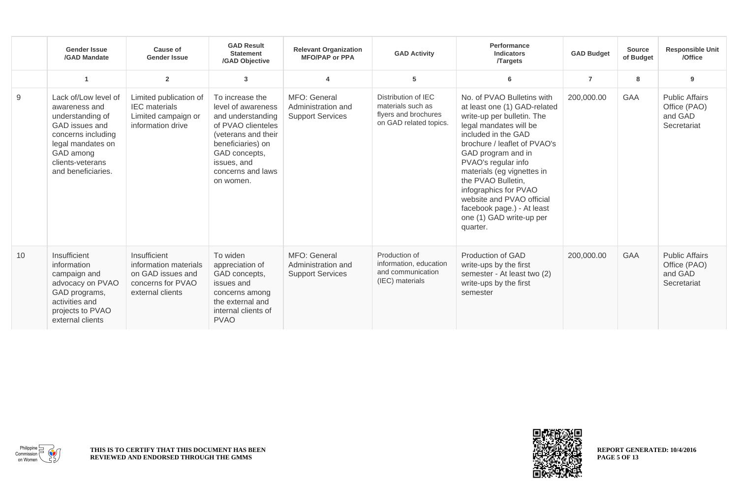|    | <b>Gender Issue</b><br>/GAD Mandate                                                                                                                                           | <b>Cause of</b><br><b>Gender Issue</b>                                                              | <b>GAD Result</b><br><b>Statement</b><br>/GAD Objective                                                                                                                                        | <b>Relevant Organization</b><br><b>MFO/PAP or PPA</b>         | <b>GAD Activity</b>                                                                        | Performance<br><b>Indicators</b><br><b>Targets</b>                                                                                                                                                                                                                                                                                                                                                     | <b>GAD Budget</b> | <b>Source</b><br>of Budget | <b>Responsible Unit</b><br>/Office                              |
|----|-------------------------------------------------------------------------------------------------------------------------------------------------------------------------------|-----------------------------------------------------------------------------------------------------|------------------------------------------------------------------------------------------------------------------------------------------------------------------------------------------------|---------------------------------------------------------------|--------------------------------------------------------------------------------------------|--------------------------------------------------------------------------------------------------------------------------------------------------------------------------------------------------------------------------------------------------------------------------------------------------------------------------------------------------------------------------------------------------------|-------------------|----------------------------|-----------------------------------------------------------------|
|    | $\blacktriangleleft$                                                                                                                                                          | $\overline{2}$                                                                                      | 3                                                                                                                                                                                              |                                                               | 5                                                                                          | 6                                                                                                                                                                                                                                                                                                                                                                                                      | $\overline{7}$    | 8                          | 9                                                               |
| 9  | Lack of/Low level of<br>awareness and<br>understanding of<br>GAD issues and<br>concerns including<br>legal mandates on<br>GAD among<br>clients-veterans<br>and beneficiaries. | Limited publication of<br><b>IEC</b> materials<br>Limited campaign or<br>information drive          | To increase the<br>level of awareness<br>and understanding<br>of PVAO clienteles<br>(veterans and their<br>beneficiaries) on<br>GAD concepts,<br>issues, and<br>concerns and laws<br>on women. | MFO: General<br>Administration and<br><b>Support Services</b> | Distribution of IEC<br>materials such as<br>flyers and brochures<br>on GAD related topics. | No. of PVAO Bulletins with<br>at least one (1) GAD-related<br>write-up per bulletin. The<br>legal mandates will be<br>included in the GAD<br>brochure / leaflet of PVAO's<br>GAD program and in<br>PVAO's regular info<br>materials (eg vignettes in<br>the PVAO Bulletin,<br>infographics for PVAO<br>website and PVAO official<br>facebook page.) - At least<br>one (1) GAD write-up per<br>quarter. | 200,000.00        | <b>GAA</b>                 | <b>Public Affairs</b><br>Office (PAO)<br>and GAD<br>Secretariat |
| 10 | Insufficient<br>information<br>campaign and<br>advocacy on PVAO<br>GAD programs,<br>activities and<br>projects to PVAO<br>external clients                                    | Insufficient<br>information materials<br>on GAD issues and<br>concerns for PVAO<br>external clients | To widen<br>appreciation of<br>GAD concepts,<br>issues and<br>concerns among<br>the external and<br>internal clients of<br><b>PVAO</b>                                                         | MFO: General<br>Administration and<br><b>Support Services</b> | Production of<br>information, education<br>and communication<br>(IEC) materials            | Production of GAD<br>write-ups by the first<br>semester - At least two (2)<br>write-ups by the first<br>semester                                                                                                                                                                                                                                                                                       | 200,000.00        | <b>GAA</b>                 | <b>Public Affairs</b><br>Office (PAO)<br>and GAD<br>Secretariat |





**REPORT GENERATED: 10/4/2016 PAGE 5 OF 13**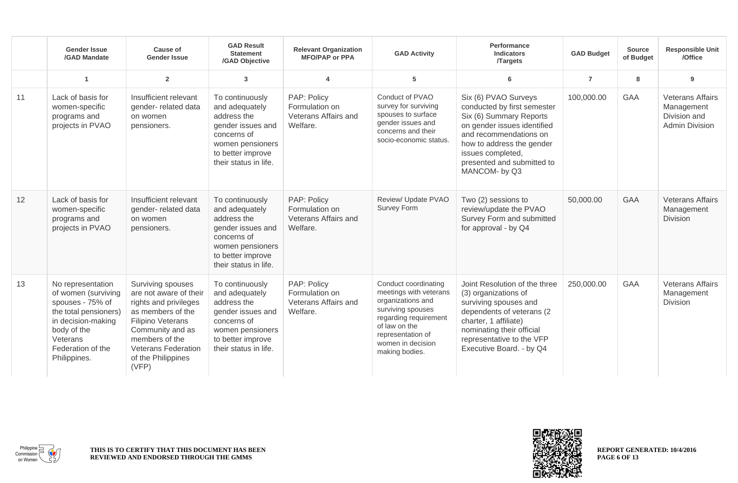|    | <b>Gender Issue</b><br>/GAD Mandate                                                                                                                                         | <b>Cause of</b><br><b>Gender Issue</b>                                                                                                                                                                                   | <b>GAD Result</b><br><b>Statement</b><br>/GAD Objective                                                                                                | <b>Relevant Organization</b><br><b>MFO/PAP or PPA</b>             | <b>GAD Activity</b>                                                                                                                                                                            | Performance<br><b>Indicators</b><br><b>Targets</b>                                                                                                                                                                                       | <b>GAD Budget</b> | <b>Source</b><br>of Budget | <b>Responsible Unit</b><br>/Office                                             |
|----|-----------------------------------------------------------------------------------------------------------------------------------------------------------------------------|--------------------------------------------------------------------------------------------------------------------------------------------------------------------------------------------------------------------------|--------------------------------------------------------------------------------------------------------------------------------------------------------|-------------------------------------------------------------------|------------------------------------------------------------------------------------------------------------------------------------------------------------------------------------------------|------------------------------------------------------------------------------------------------------------------------------------------------------------------------------------------------------------------------------------------|-------------------|----------------------------|--------------------------------------------------------------------------------|
|    | $\blacktriangleleft$                                                                                                                                                        | $\overline{2}$                                                                                                                                                                                                           | $\mathbf{3}$                                                                                                                                           | 4                                                                 | 5                                                                                                                                                                                              | 6                                                                                                                                                                                                                                        | $\overline{7}$    | 8                          | 9                                                                              |
| 11 | Lack of basis for<br>women-specific<br>programs and<br>projects in PVAO                                                                                                     | Insufficient relevant<br>gender- related data<br>on women<br>pensioners.                                                                                                                                                 | To continuously<br>and adequately<br>address the<br>gender issues and<br>concerns of<br>women pensioners<br>to better improve<br>their status in life. | PAP: Policy<br>Formulation on<br>Veterans Affairs and<br>Welfare. | Conduct of PVAO<br>survey for surviving<br>spouses to surface<br>gender issues and<br>concerns and their<br>socio-economic status.                                                             | Six (6) PVAO Surveys<br>conducted by first semester<br>Six (6) Summary Reports<br>on gender issues identified<br>and recommendations on<br>how to address the gender<br>issues completed,<br>presented and submitted to<br>MANCOM- by Q3 | 100,000.00        | <b>GAA</b>                 | <b>Veterans Affairs</b><br>Management<br>Division and<br><b>Admin Division</b> |
| 12 | Lack of basis for<br>women-specific<br>programs and<br>projects in PVAO                                                                                                     | Insufficient relevant<br>gender-related data<br>on women<br>pensioners.                                                                                                                                                  | To continuously<br>and adequately<br>address the<br>gender issues and<br>concerns of<br>women pensioners<br>to better improve<br>their status in life. | PAP: Policy<br>Formulation on<br>Veterans Affairs and<br>Welfare. | Review/ Update PVAO<br>Survey Form                                                                                                                                                             | Two (2) sessions to<br>review/update the PVAO<br>Survey Form and submitted<br>for approval - by Q4                                                                                                                                       | 50,000.00         | <b>GAA</b>                 | <b>Veterans Affairs</b><br>Management<br><b>Division</b>                       |
| 13 | No representation<br>of women (surviving<br>spouses - 75% of<br>the total pensioners)<br>in decision-making<br>body of the<br>Veterans<br>Federation of the<br>Philippines. | Surviving spouses<br>are not aware of their<br>rights and privileges<br>as members of the<br><b>Filipino Veterans</b><br>Community and as<br>members of the<br><b>Veterans Federation</b><br>of the Philippines<br>(VFP) | To continuously<br>and adequately<br>address the<br>gender issues and<br>concerns of<br>women pensioners<br>to better improve<br>their status in life. | PAP: Policy<br>Formulation on<br>Veterans Affairs and<br>Welfare. | Conduct coordinating<br>meetings with veterans<br>organizations and<br>surviving spouses<br>regarding requirement<br>of law on the<br>representation of<br>women in decision<br>making bodies. | Joint Resolution of the three<br>(3) organizations of<br>surviving spouses and<br>dependents of veterans (2<br>charter, 1 affiliate)<br>nominating their official<br>representative to the VFP<br>Executive Board. - by Q4               | 250,000.00        | <b>GAA</b>                 | <b>Veterans Affairs</b><br>Management<br>Division                              |



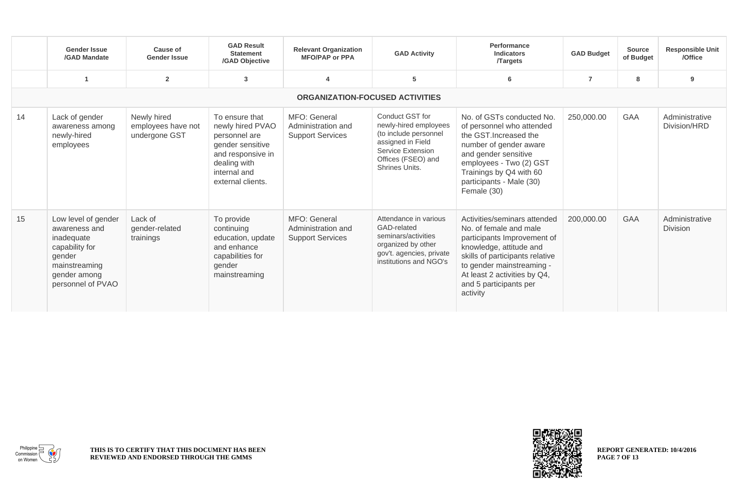|    | <b>Gender Issue</b><br>/GAD Mandate                                                                                                  | Cause of<br><b>Gender Issue</b>                    | <b>GAD Result</b><br><b>Statement</b><br>/GAD Objective                                                                                           | <b>Relevant Organization</b><br><b>MFO/PAP or PPA</b>         | <b>GAD Activity</b>                                                                                                                                 | Performance<br><b>Indicators</b><br><b>Targets</b>                                                                                                                                                                                                     | <b>GAD Budget</b> | <b>Source</b><br>of Budget | <b>Responsible Unit</b><br>/Office |
|----|--------------------------------------------------------------------------------------------------------------------------------------|----------------------------------------------------|---------------------------------------------------------------------------------------------------------------------------------------------------|---------------------------------------------------------------|-----------------------------------------------------------------------------------------------------------------------------------------------------|--------------------------------------------------------------------------------------------------------------------------------------------------------------------------------------------------------------------------------------------------------|-------------------|----------------------------|------------------------------------|
|    |                                                                                                                                      | $\mathbf{2}$                                       | $\mathbf{3}$                                                                                                                                      |                                                               | 5                                                                                                                                                   | 6                                                                                                                                                                                                                                                      | $\overline{7}$    | 8                          | 9                                  |
|    |                                                                                                                                      |                                                    |                                                                                                                                                   | <b>ORGANIZATION-FOCUSED ACTIVITIES</b>                        |                                                                                                                                                     |                                                                                                                                                                                                                                                        |                   |                            |                                    |
| 14 | Lack of gender<br>awareness among<br>newly-hired<br>employees                                                                        | Newly hired<br>employees have not<br>undergone GST | To ensure that<br>newly hired PVAO<br>personnel are<br>gender sensitive<br>and responsive in<br>dealing with<br>internal and<br>external clients. | MFO: General<br>Administration and<br><b>Support Services</b> | Conduct GST for<br>newly-hired employees<br>(to include personnel<br>assigned in Field<br>Service Extension<br>Offices (FSEO) and<br>Shrines Units. | No. of GSTs conducted No.<br>of personnel who attended<br>the GST. Increased the<br>number of gender aware<br>and gender sensitive<br>employees - Two (2) GST<br>Trainings by Q4 with 60<br>participants - Male (30)<br>Female (30)                    | 250,000.00        | GAA                        | Administrative<br>Division/HRD     |
| 15 | Low level of gender<br>awareness and<br>inadequate<br>capability for<br>gender<br>mainstreaming<br>gender among<br>personnel of PVAO | Lack of<br>gender-related<br>trainings             | To provide<br>continuing<br>education, update<br>and enhance<br>capabilities for<br>gender<br>mainstreaming                                       | MFO: General<br>Administration and<br><b>Support Services</b> | Attendance in various<br>GAD-related<br>seminars/activities<br>organized by other<br>gov't. agencies, private<br>institutions and NGO's             | Activities/seminars attended<br>No. of female and male<br>participants Improvement of<br>knowledge, attitude and<br>skills of participants relative<br>to gender mainstreaming -<br>At least 2 activities by Q4,<br>and 5 participants per<br>activity | 200,000.00        | <b>GAA</b>                 | Administrative<br><b>Division</b>  |



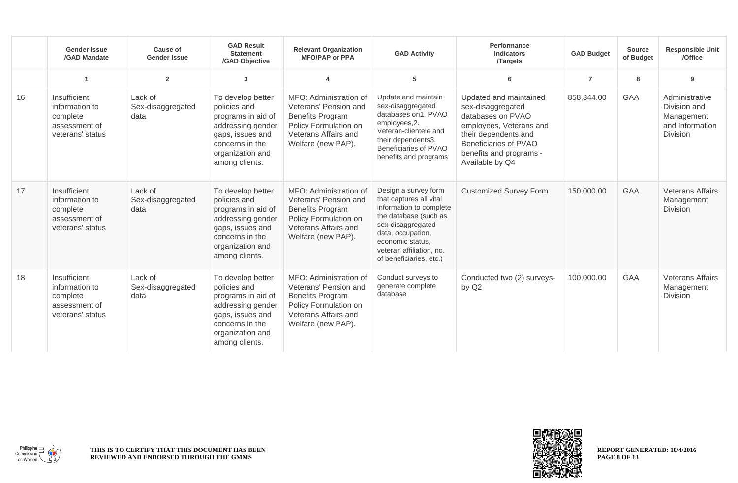|    | <b>Gender Issue</b><br>/GAD Mandate                                             | Cause of<br><b>Gender Issue</b>      | <b>GAD Result</b><br><b>Statement</b><br>/GAD Objective                                                                                                   | <b>Relevant Organization</b><br><b>MFO/PAP or PPA</b>                                                                                             | <b>GAD Activity</b>                                                                                                                                                                                                      | Performance<br><b>Indicators</b><br><b>Targets</b>                                                                                                                                         | <b>GAD Budget</b> | <b>Source</b><br>of Budget | <b>Responsible Unit</b><br>/Office                                                 |
|----|---------------------------------------------------------------------------------|--------------------------------------|-----------------------------------------------------------------------------------------------------------------------------------------------------------|---------------------------------------------------------------------------------------------------------------------------------------------------|--------------------------------------------------------------------------------------------------------------------------------------------------------------------------------------------------------------------------|--------------------------------------------------------------------------------------------------------------------------------------------------------------------------------------------|-------------------|----------------------------|------------------------------------------------------------------------------------|
|    | -1                                                                              | $\overline{2}$                       | 3                                                                                                                                                         |                                                                                                                                                   | 5                                                                                                                                                                                                                        | 6                                                                                                                                                                                          | $\overline{7}$    | 8                          | 9                                                                                  |
| 16 | Insufficient<br>information to<br>complete<br>assessment of<br>veterans' status | Lack of<br>Sex-disaggregated<br>data | To develop better<br>policies and<br>programs in aid of<br>addressing gender<br>gaps, issues and<br>concerns in the<br>organization and<br>among clients. | MFO: Administration of<br>Veterans' Pension and<br><b>Benefits Program</b><br>Policy Formulation on<br>Veterans Affairs and<br>Welfare (new PAP). | Update and maintain<br>sex-disaggregated<br>databases on1. PVAO<br>employees, 2.<br>Veteran-clientele and<br>their dependents3.<br>Beneficiaries of PVAO<br>benefits and programs                                        | Updated and maintained<br>sex-disaggregated<br>databases on PVAO<br>employees, Veterans and<br>their dependents and<br>Beneficiaries of PVAO<br>benefits and programs -<br>Available by Q4 | 858,344.00        | <b>GAA</b>                 | Administrative<br>Division and<br>Management<br>and Information<br><b>Division</b> |
| 17 | Insufficient<br>information to<br>complete<br>assessment of<br>veterans' status | Lack of<br>Sex-disaggregated<br>data | To develop better<br>policies and<br>programs in aid of<br>addressing gender<br>gaps, issues and<br>concerns in the<br>organization and<br>among clients. | MFO: Administration of<br>Veterans' Pension and<br><b>Benefits Program</b><br>Policy Formulation on<br>Veterans Affairs and<br>Welfare (new PAP). | Design a survey form<br>that captures all vital<br>information to complete<br>the database (such as<br>sex-disaggregated<br>data, occupation,<br>economic status,<br>veteran affiliation, no.<br>of beneficiaries, etc.) | <b>Customized Survey Form</b>                                                                                                                                                              | 150,000.00        | <b>GAA</b>                 | <b>Veterans Affairs</b><br>Management<br><b>Division</b>                           |
| 18 | Insufficient<br>information to<br>complete<br>assessment of<br>veterans' status | Lack of<br>Sex-disaggregated<br>data | To develop better<br>policies and<br>programs in aid of<br>addressing gender<br>gaps, issues and<br>concerns in the<br>organization and<br>among clients. | MFO: Administration of<br>Veterans' Pension and<br><b>Benefits Program</b><br>Policy Formulation on<br>Veterans Affairs and<br>Welfare (new PAP). | Conduct surveys to<br>generate complete<br>database                                                                                                                                                                      | Conducted two (2) surveys-<br>by Q2                                                                                                                                                        | 100,000.00        | <b>GAA</b>                 | <b>Veterans Affairs</b><br>Management<br><b>Division</b>                           |



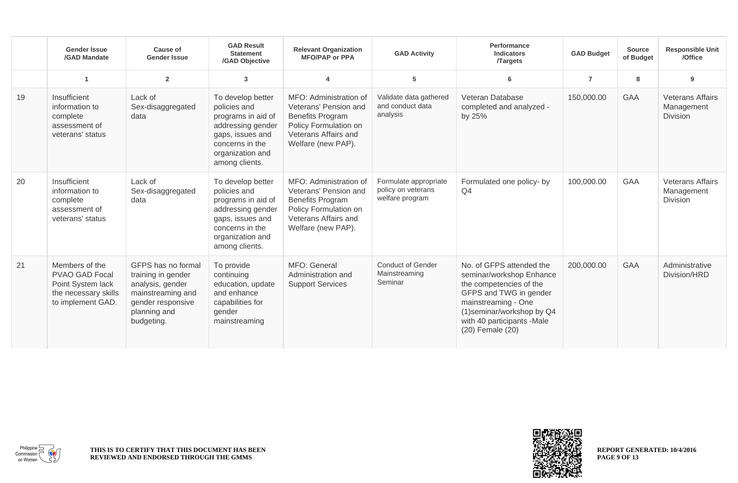|    | <b>Gender Issue</b><br>/GAD Mandate                                                                       | Cause of<br><b>Gender Issue</b>                                                                                                      | <b>GAD Result</b><br><b>Statement</b><br>/GAD Objective                                                                                                   | <b>Relevant Organization</b><br><b>MFO/PAP or PPA</b>                                                                                             | <b>GAD Activity</b>                                            | Performance<br><b>Indicators</b><br><b>Targets</b>                                                                                                                                                               | <b>GAD Budget</b> | <b>Source</b><br>of Budget | <b>Responsible Unit</b><br>/Office                       |
|----|-----------------------------------------------------------------------------------------------------------|--------------------------------------------------------------------------------------------------------------------------------------|-----------------------------------------------------------------------------------------------------------------------------------------------------------|---------------------------------------------------------------------------------------------------------------------------------------------------|----------------------------------------------------------------|------------------------------------------------------------------------------------------------------------------------------------------------------------------------------------------------------------------|-------------------|----------------------------|----------------------------------------------------------|
|    |                                                                                                           | $\overline{2}$                                                                                                                       | $\mathbf{3}$                                                                                                                                              | 4                                                                                                                                                 | 5                                                              | 6                                                                                                                                                                                                                | $\overline{7}$    | 8                          | 9                                                        |
| 19 | Insufficient<br>information to<br>complete<br>assessment of<br>veterans' status                           | Lack of<br>Sex-disaggregated<br>data                                                                                                 | To develop better<br>policies and<br>programs in aid of<br>addressing gender<br>gaps, issues and<br>concerns in the<br>organization and<br>among clients. | MFO: Administration of<br>Veterans' Pension and<br><b>Benefits Program</b><br>Policy Formulation on<br>Veterans Affairs and<br>Welfare (new PAP). | Validate data gathered<br>and conduct data<br>analysis         | Veteran Database<br>completed and analyzed -<br>by 25%                                                                                                                                                           | 150,000.00        | <b>GAA</b>                 | <b>Veterans Affairs</b><br>Management<br><b>Division</b> |
| 20 | Insufficient<br>information to<br>complete<br>assessment of<br>veterans' status                           | Lack of<br>Sex-disaggregated<br>data                                                                                                 | To develop better<br>policies and<br>programs in aid of<br>addressing gender<br>gaps, issues and<br>concerns in the<br>organization and<br>among clients. | MFO: Administration of<br>Veterans' Pension and<br><b>Benefits Program</b><br>Policy Formulation on<br>Veterans Affairs and<br>Welfare (new PAP). | Formulate appropriate<br>policy on veterans<br>welfare program | Formulated one policy- by<br>Q4                                                                                                                                                                                  | 100,000.00        | <b>GAA</b>                 | <b>Veterans Affairs</b><br>Management<br><b>Division</b> |
| 21 | Members of the<br><b>PVAO GAD Focal</b><br>Point System lack<br>the necessary skills<br>to implement GAD. | GFPS has no formal<br>training in gender<br>analysis, gender<br>mainstreaming and<br>gender responsive<br>planning and<br>budgeting. | To provide<br>continuing<br>education, update<br>and enhance<br>capabilities for<br>gender<br>mainstreaming                                               | MFO: General<br>Administration and<br><b>Support Services</b>                                                                                     | <b>Conduct of Gender</b><br>Mainstreaming<br>Seminar           | No. of GFPS attended the<br>seminar/workshop Enhance<br>the competencies of the<br>GFPS and TWG in gender<br>mainstreaming - One<br>(1) seminar/workshop by Q4<br>with 40 participants -Male<br>(20) Female (20) | 200,000.00        | <b>GAA</b>                 | Administrative<br>Division/HRD                           |



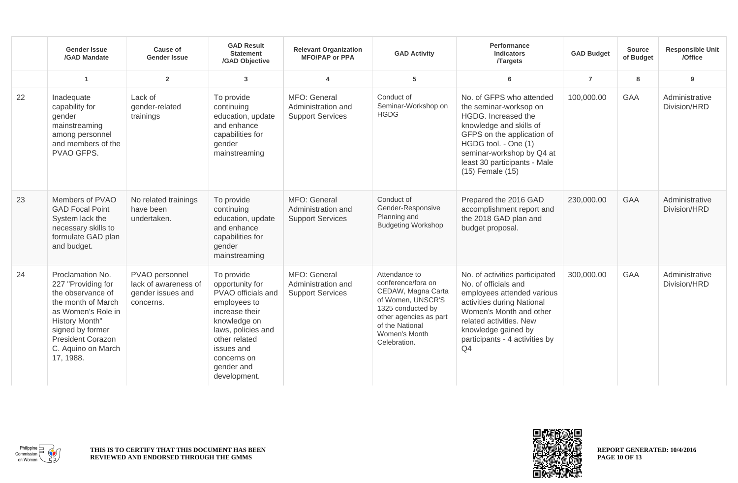|    | <b>Gender Issue</b><br>/GAD Mandate                                                                                                                                                                          | Cause of<br><b>Gender Issue</b>                                          | <b>GAD Result</b><br><b>Statement</b><br>/GAD Objective                                                                                                                                                 | <b>Relevant Organization</b><br><b>MFO/PAP or PPA</b>         | <b>GAD Activity</b>                                                                                                                                                               | Performance<br><b>Indicators</b><br><b>Targets</b>                                                                                                                                                                                          | <b>GAD Budget</b> | <b>Source</b><br>of Budget | <b>Responsible Unit</b><br>/Office |
|----|--------------------------------------------------------------------------------------------------------------------------------------------------------------------------------------------------------------|--------------------------------------------------------------------------|---------------------------------------------------------------------------------------------------------------------------------------------------------------------------------------------------------|---------------------------------------------------------------|-----------------------------------------------------------------------------------------------------------------------------------------------------------------------------------|---------------------------------------------------------------------------------------------------------------------------------------------------------------------------------------------------------------------------------------------|-------------------|----------------------------|------------------------------------|
|    | $\overline{1}$                                                                                                                                                                                               | $\overline{2}$                                                           | 3                                                                                                                                                                                                       | 4                                                             | 5                                                                                                                                                                                 | 6                                                                                                                                                                                                                                           | $\overline{7}$    | 8                          | 9                                  |
| 22 | Inadequate<br>capability for<br>gender<br>mainstreaming<br>among personnel<br>and members of the<br>PVAO GFPS.                                                                                               | Lack of<br>gender-related<br>trainings                                   | To provide<br>continuing<br>education, update<br>and enhance<br>capabilities for<br>gender<br>mainstreaming                                                                                             | MFO: General<br>Administration and<br><b>Support Services</b> | Conduct of<br>Seminar-Workshop on<br><b>HGDG</b>                                                                                                                                  | No. of GFPS who attended<br>the seminar-worksop on<br>HGDG. Increased the<br>knowledge and skills of<br>GFPS on the application of<br>HGDG tool. - One (1)<br>seminar-workshop by Q4 at<br>least 30 participants - Male<br>(15) Female (15) | 100,000.00        | GAA                        | Administrative<br>Division/HRD     |
| 23 | Members of PVAO<br><b>GAD Focal Point</b><br>System lack the<br>necessary skills to<br>formulate GAD plan<br>and budget.                                                                                     | No related trainings<br>have been<br>undertaken.                         | To provide<br>continuing<br>education, update<br>and enhance<br>capabilities for<br>gender<br>mainstreaming                                                                                             | MFO: General<br>Administration and<br><b>Support Services</b> | Conduct of<br>Gender-Responsive<br>Planning and<br><b>Budgeting Workshop</b>                                                                                                      | Prepared the 2016 GAD<br>accomplishment report and<br>the 2018 GAD plan and<br>budget proposal.                                                                                                                                             | 230,000.00        | <b>GAA</b>                 | Administrative<br>Division/HRD     |
| 24 | Proclamation No.<br>227 "Providing for<br>the observance of<br>the month of March<br>as Women's Role in<br>History Month"<br>signed by former<br><b>President Corazon</b><br>C. Aquino on March<br>17, 1988. | PVAO personnel<br>lack of awareness of<br>gender issues and<br>concerns. | To provide<br>opportunity for<br>PVAO officials and<br>employees to<br>increase their<br>knowledge on<br>laws, policies and<br>other related<br>issues and<br>concerns on<br>gender and<br>development. | MFO: General<br>Administration and<br><b>Support Services</b> | Attendance to<br>conference/fora on<br>CEDAW, Magna Carta<br>of Women, UNSCR'S<br>1325 conducted by<br>other agencies as part<br>of the National<br>Women's Month<br>Celebration. | No. of activities participated<br>No. of officials and<br>employees attended various<br>activities during National<br>Women's Month and other<br>related activities. New<br>knowledge gained by<br>participants - 4 activities by<br>Q4     | 300,000.00        | GAA                        | Administrative<br>Division/HRD     |



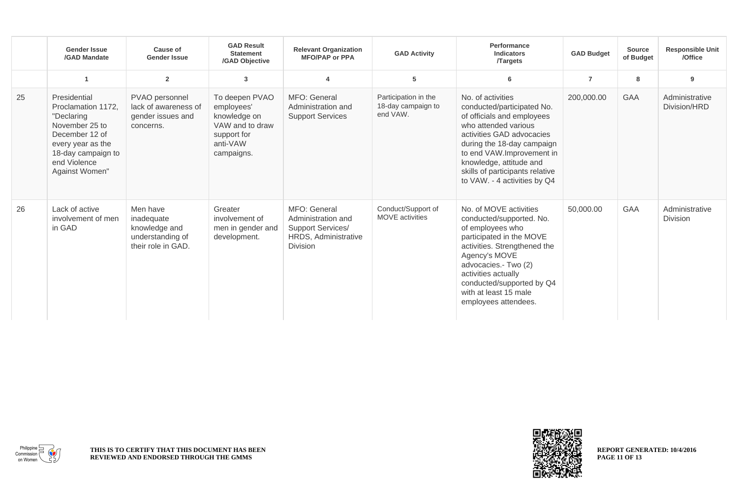|    | <b>Gender Issue</b><br>/GAD Mandate                                                                                                                               | <b>Cause of</b><br><b>Gender Issue</b>                                            | <b>GAD Result</b><br><b>Statement</b><br>/GAD Objective                                                  | <b>Relevant Organization</b><br><b>MFO/PAP or PPA</b>                                                     | <b>GAD Activity</b>                                    | Performance<br><b>Indicators</b><br><b>Targets</b>                                                                                                                                                                                                                                          | <b>GAD Budget</b> | <b>Source</b><br>of Budget | <b>Responsible Unit</b><br>/Office |
|----|-------------------------------------------------------------------------------------------------------------------------------------------------------------------|-----------------------------------------------------------------------------------|----------------------------------------------------------------------------------------------------------|-----------------------------------------------------------------------------------------------------------|--------------------------------------------------------|---------------------------------------------------------------------------------------------------------------------------------------------------------------------------------------------------------------------------------------------------------------------------------------------|-------------------|----------------------------|------------------------------------|
|    | -1                                                                                                                                                                | $\overline{2}$                                                                    | $\mathbf{3}$                                                                                             | $\boldsymbol{\Delta}$                                                                                     | 5                                                      | 6                                                                                                                                                                                                                                                                                           | $\overline{7}$    | 8                          | 9                                  |
| 25 | Presidential<br>Proclamation 1172,<br>"Declaring<br>November 25 to<br>December 12 of<br>every year as the<br>18-day campaign to<br>end Violence<br>Against Women" | PVAO personnel<br>lack of awareness of<br>gender issues and<br>concerns.          | To deepen PVAO<br>employees'<br>knowledge on<br>VAW and to draw<br>support for<br>anti-VAW<br>campaigns. | MFO: General<br>Administration and<br><b>Support Services</b>                                             | Participation in the<br>18-day campaign to<br>end VAW. | No. of activities<br>conducted/participated No.<br>of officials and employees<br>who attended various<br>activities GAD advocacies<br>during the 18-day campaign<br>to end VAW.Improvement in<br>knowledge, attitude and<br>skills of participants relative<br>to VAW. - 4 activities by Q4 | 200,000.00        | <b>GAA</b>                 | Administrative<br>Division/HRD     |
| 26 | Lack of active<br>involvement of men<br>in GAD                                                                                                                    | Men have<br>inadequate<br>knowledge and<br>understanding of<br>their role in GAD. | Greater<br>involvement of<br>men in gender and<br>development.                                           | MFO: General<br>Administration and<br><b>Support Services/</b><br>HRDS, Administrative<br><b>Division</b> | Conduct/Support of<br><b>MOVE</b> activities           | No. of MOVE activities<br>conducted/supported. No.<br>of employees who<br>participated in the MOVE<br>activities. Strengthened the<br>Agency's MOVE<br>advocacies.- Two (2)<br>activities actually<br>conducted/supported by Q4<br>with at least 15 male<br>employees attendees.            | 50,000.00         | <b>GAA</b>                 | Administrative<br><b>Division</b>  |



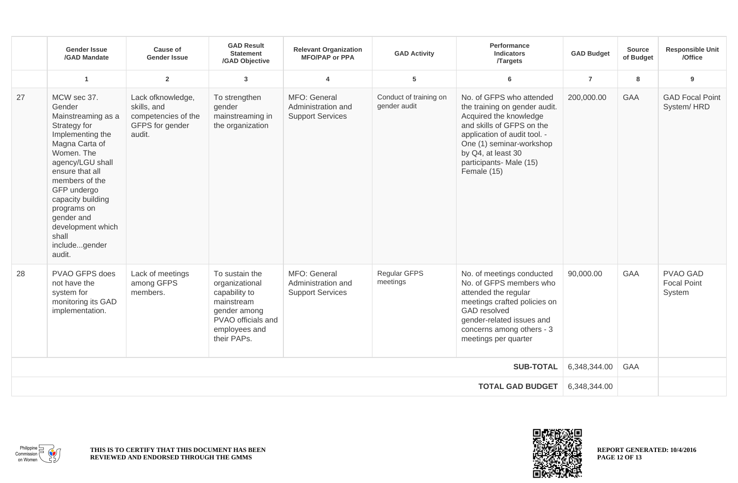|                         | <b>Gender Issue</b><br>/GAD Mandate                                                                                                                                                                                                                                                                | Cause of<br><b>Gender Issue</b>                                                      | <b>GAD Result</b><br><b>Statement</b><br>/GAD Objective                                                                               | <b>Relevant Organization</b><br><b>MFO/PAP or PPA</b>         | <b>GAD Activity</b>                    | Performance<br><b>Indicators</b><br><b>Targets</b>                                                                                                                                                                                           | <b>GAD Budget</b> | <b>Source</b><br>of Budget | <b>Responsible Unit</b><br>/Office              |
|-------------------------|----------------------------------------------------------------------------------------------------------------------------------------------------------------------------------------------------------------------------------------------------------------------------------------------------|--------------------------------------------------------------------------------------|---------------------------------------------------------------------------------------------------------------------------------------|---------------------------------------------------------------|----------------------------------------|----------------------------------------------------------------------------------------------------------------------------------------------------------------------------------------------------------------------------------------------|-------------------|----------------------------|-------------------------------------------------|
|                         | -1                                                                                                                                                                                                                                                                                                 | $\overline{2}$                                                                       | $\overline{3}$                                                                                                                        | 4                                                             | 5                                      | 6                                                                                                                                                                                                                                            | $\overline{7}$    | 8                          | 9                                               |
| 27                      | MCW sec 37.<br>Gender<br>Mainstreaming as a<br>Strategy for<br>Implementing the<br>Magna Carta of<br>Women. The<br>agency/LGU shall<br>ensure that all<br>members of the<br>GFP undergo<br>capacity building<br>programs on<br>gender and<br>development which<br>shall<br>includegender<br>audit. | Lack ofknowledge,<br>skills, and<br>competencies of the<br>GFPS for gender<br>audit. | To strengthen<br>gender<br>mainstreaming in<br>the organization                                                                       | MFO: General<br>Administration and<br><b>Support Services</b> | Conduct of training on<br>gender audit | No. of GFPS who attended<br>the training on gender audit.<br>Acquired the knowledge<br>and skills of GFPS on the<br>application of audit tool. -<br>One (1) seminar-workshop<br>by Q4, at least 30<br>participants- Male (15)<br>Female (15) | 200,000.00        | <b>GAA</b>                 | <b>GAD Focal Point</b><br>System/HRD            |
| 28                      | PVAO GFPS does<br>not have the<br>system for<br>monitoring its GAD<br>implementation.                                                                                                                                                                                                              | Lack of meetings<br>among GFPS<br>members.                                           | To sustain the<br>organizational<br>capability to<br>mainstream<br>gender among<br>PVAO officials and<br>employees and<br>their PAPs. | MFO: General<br>Administration and<br><b>Support Services</b> | Regular GFPS<br>meetings               | No. of meetings conducted<br>No. of GFPS members who<br>attended the regular<br>meetings crafted policies on<br><b>GAD</b> resolved<br>gender-related issues and<br>concerns among others - 3<br>meetings per quarter                        | 90,000.00         | <b>GAA</b>                 | <b>PVAO GAD</b><br><b>Focal Point</b><br>System |
| <b>SUB-TOTAL</b>        |                                                                                                                                                                                                                                                                                                    |                                                                                      |                                                                                                                                       |                                                               |                                        |                                                                                                                                                                                                                                              |                   | <b>GAA</b>                 |                                                 |
| <b>TOTAL GAD BUDGET</b> |                                                                                                                                                                                                                                                                                                    |                                                                                      |                                                                                                                                       |                                                               |                                        |                                                                                                                                                                                                                                              | 6,348,344.00      |                            |                                                 |